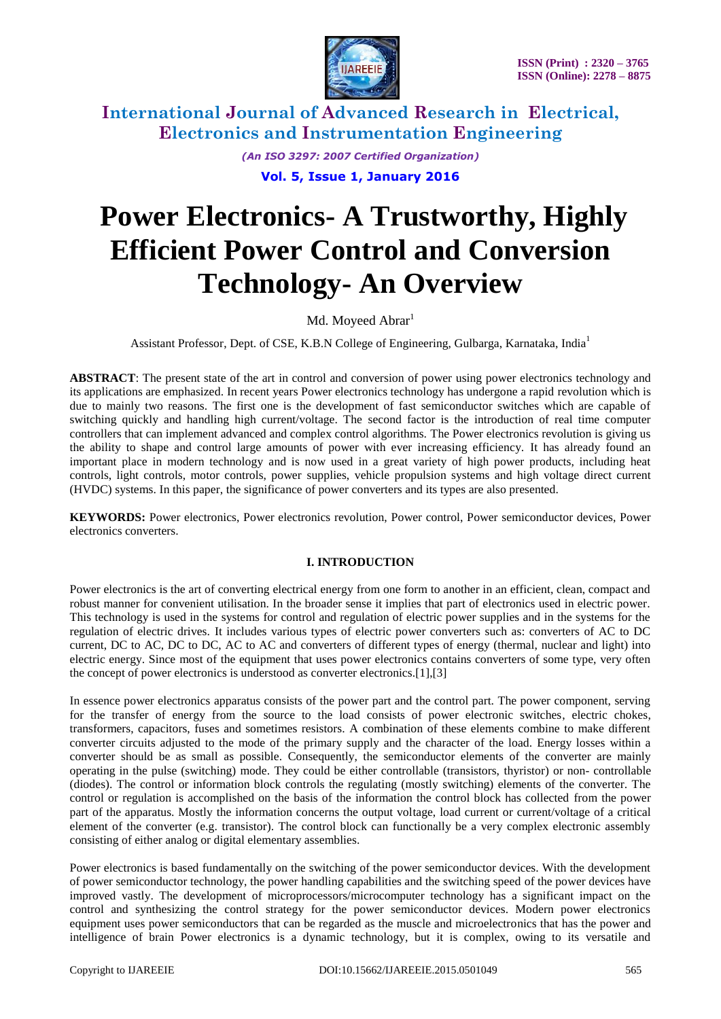

> *(An ISO 3297: 2007 Certified Organization)* **Vol. 5, Issue 1, January 2016**

# **Power Electronics- A Trustworthy, Highly Efficient Power Control and Conversion Technology- An Overview**

### Md. Moyeed Abrar<sup>1</sup>

Assistant Professor, Dept. of CSE, K.B.N College of Engineering, Gulbarga, Karnataka, India<sup>1</sup>

**ABSTRACT**: The present state of the art in control and conversion of power using power electronics technology and its applications are emphasized. In recent years Power electronics technology has undergone a rapid revolution which is due to mainly two reasons. The first one is the development of fast semiconductor switches which are capable of switching quickly and handling high current/voltage. The second factor is the introduction of real time computer controllers that can implement advanced and complex control algorithms. The Power electronics revolution is giving us the ability to shape and control large amounts of power with ever increasing efficiency. It has already found an important place in modern technology and is now used in a great variety of high power products, including heat controls, light controls, motor controls, power supplies, vehicle propulsion systems and high voltage direct current (HVDC) systems. In this paper, the significance of power converters and its types are also presented.

**KEYWORDS:** Power electronics, Power electronics revolution, Power control, Power semiconductor devices, Power electronics converters.

### **I. INTRODUCTION**

Power electronics is the art of converting electrical energy from one form to another in an efficient, clean, compact and robust manner for convenient utilisation. In the broader sense it implies that part of electronics used in electric power. This technology is used in the systems for control and regulation of electric power supplies and in the systems for the regulation of electric drives. It includes various types of electric power converters such as: converters of AC to DC current, DC to AC, DC to DC, AC to AC and converters of different types of energy (thermal, nuclear and light) into electric energy. Since most of the equipment that uses power electronics contains converters of some type, very often the concept of power electronics is understood as converter electronics.[1],[3]

In essence power electronics apparatus consists of the power part and the control part. The power component, serving for the transfer of energy from the source to the load consists of power electronic switches, electric chokes, transformers, capacitors, fuses and sometimes resistors. A combination of these elements combine to make different converter circuits adjusted to the mode of the primary supply and the character of the load. Energy losses within a converter should be as small as possible. Consequently, the semiconductor elements of the converter are mainly operating in the pulse (switching) mode. They could be either controllable (transistors, thyristor) or non- controllable (diodes). The control or information block controls the regulating (mostly switching) elements of the converter. The control or regulation is accomplished on the basis of the information the control block has collected from the power part of the apparatus. Mostly the information concerns the output voltage, load current or current/voltage of a critical element of the converter (e.g. transistor). The control block can functionally be a very complex electronic assembly consisting of either analog or digital elementary assemblies.

Power electronics is based fundamentally on the switching of the power semiconductor devices. With the development of power semiconductor technology, the power handling capabilities and the switching speed of the power devices have improved vastly. The development of microprocessors/microcomputer technology has a significant impact on the control and synthesizing the control strategy for the power semiconductor devices. Modern power electronics equipment uses power semiconductors that can be regarded as the muscle and microelectronics that has the power and intelligence of brain Power electronics is a dynamic technology, but it is complex, owing to its versatile and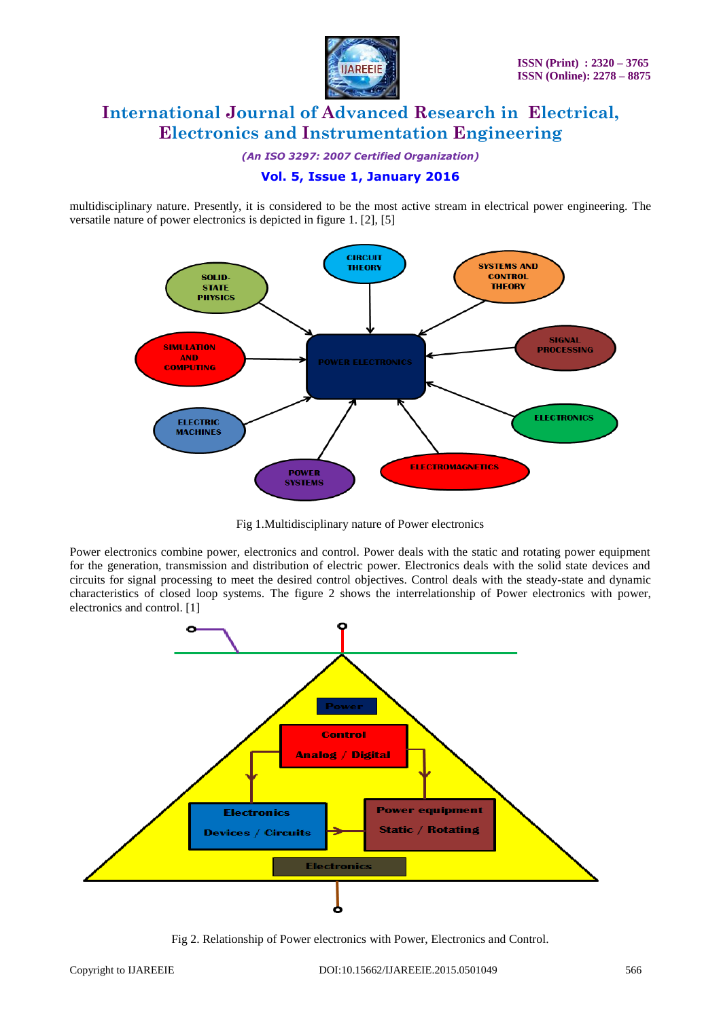

*(An ISO 3297: 2007 Certified Organization)*

### **Vol. 5, Issue 1, January 2016**

multidisciplinary nature. Presently, it is considered to be the most active stream in electrical power engineering. The versatile nature of power electronics is depicted in figure 1. [2], [5]



Fig 1.Multidisciplinary nature of Power electronics

Power electronics combine power, electronics and control. Power deals with the static and rotating power equipment for the generation, transmission and distribution of electric power. Electronics deals with the solid state devices and circuits for signal processing to meet the desired control objectives. Control deals with the steady-state and dynamic characteristics of closed loop systems. The figure 2 shows the interrelationship of Power electronics with power, electronics and control. [1]



Fig 2. Relationship of Power electronics with Power, Electronics and Control.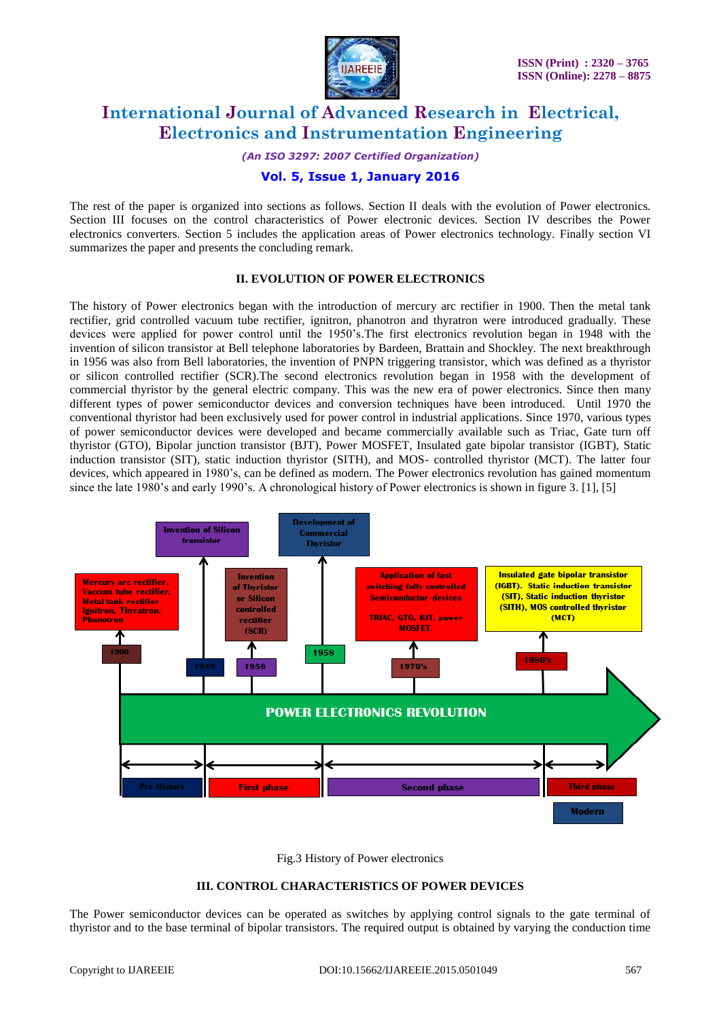

*(An ISO 3297: 2007 Certified Organization)*

### **Vol. 5, Issue 1, January 2016**

The rest of the paper is organized into sections as follows. Section II deals with the evolution of Power electronics. Section III focuses on the control characteristics of Power electronic devices. Section IV describes the Power electronics converters. Section 5 includes the application areas of Power electronics technology. Finally section VI summarizes the paper and presents the concluding remark.

#### **II. EVOLUTION OF POWER ELECTRONICS**

The history of Power electronics began with the introduction of mercury arc rectifier in 1900. Then the metal tank rectifier, grid controlled vacuum tube rectifier, ignitron, phanotron and thyratron were introduced gradually. These devices were applied for power control until the 1950's.The first electronics revolution began in 1948 with the invention of silicon transistor at Bell telephone laboratories by Bardeen, Brattain and Shockley. The next breakthrough in 1956 was also from Bell laboratories, the invention of PNPN triggering transistor, which was defined as a thyristor or silicon controlled rectifier (SCR).The second electronics revolution began in 1958 with the development of commercial thyristor by the general electric company. This was the new era of power electronics. Since then many different types of power semiconductor devices and conversion techniques have been introduced. Until 1970 the conventional thyristor had been exclusively used for power control in industrial applications. Since 1970, various types of power semiconductor devices were developed and became commercially available such as Triac, Gate turn off thyristor (GTO), Bipolar junction transistor (BJT), Power MOSFET, Insulated gate bipolar transistor (IGBT), Static induction transistor (SIT), static induction thyristor (SITH), and MOS- controlled thyristor (MCT). The latter four devices, which appeared in 1980's, can be defined as modern. The Power electronics revolution has gained momentum since the late 1980's and early 1990's. A chronological history of Power electronics is shown in figure 3. [1], [5]



Fig.3 History of Power electronics

#### **III. CONTROL CHARACTERISTICS OF POWER DEVICES**

The Power semiconductor devices can be operated as switches by applying control signals to the gate terminal of thyristor and to the base terminal of bipolar transistors. The required output is obtained by varying the conduction time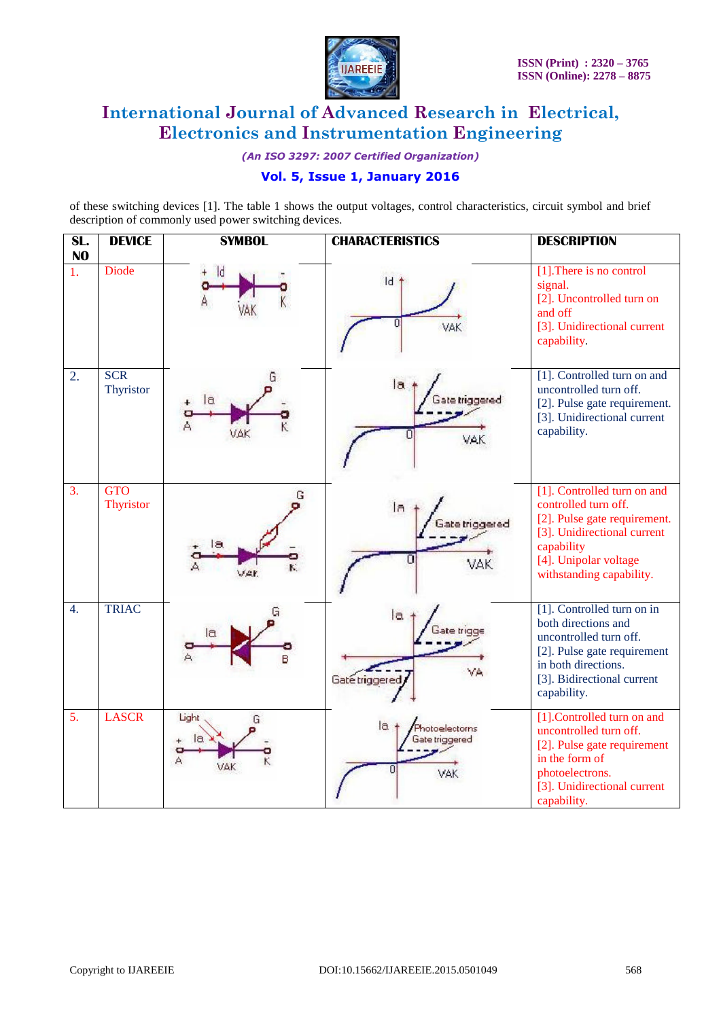

*(An ISO 3297: 2007 Certified Organization)*

# **Vol. 5, Issue 1, January 2016**

of these switching devices [1]. The table 1 shows the output voltages, control characteristics, circuit symbol and brief description of commonly used power switching devices.

| SL.<br>N <sub>O</sub> | <b>DEVICE</b>                  | <b>SYMBOL</b>     | <b>CHARACTERISTICS</b>                                                | <b>DESCRIPTION</b>                                                                                                                                                                    |
|-----------------------|--------------------------------|-------------------|-----------------------------------------------------------------------|---------------------------------------------------------------------------------------------------------------------------------------------------------------------------------------|
| 1.                    | <b>Diode</b>                   |                   | $\mathsf{Id}$<br>VAK                                                  | [1]. There is no control<br>signal.<br>[2]. Uncontrolled turn on<br>and off<br>[3]. Unidirectional current<br>capability.                                                             |
| 2.                    | <b>SCR</b><br>Thyristor        | G<br>la<br>VAK    | la<br>ate triggered<br>VAK.                                           | [1]. Controlled turn on and<br>uncontrolled turn off.<br>[2]. Pulse gate requirement.<br>[3]. Unidirectional current<br>capability.                                                   |
| 3.                    | <b>GTO</b><br><b>Thyristor</b> | G<br>IЭ<br>VAK.   | la<br>Gate triggered<br>n<br>VAK                                      | [1]. Controlled turn on and<br>controlled turn off.<br>[2]. Pulse gate requirement.<br>[3]. Unidirectional current<br>capability<br>[4]. Unipolar voltage<br>withstanding capability. |
| $\overline{4}$ .      | <b>TRIAC</b>                   | G<br>Ιa           | la.<br>ate tric<br>٧A<br>Gate triggered                               | [1]. Controlled turn on in<br>both directions and<br>uncontrolled turn off.<br>[2]. Pulse gate requirement<br>in both directions.<br>[3]. Bidirectional current<br>capability.        |
| 5.                    | <b>LASCR</b>                   | Light<br>G<br>VAK | $l$ a $\rightarrow$<br>Photoelectorns<br><b>Gate triggered</b><br>VAK | [1].Controlled turn on and<br>uncontrolled turn off.<br>[2]. Pulse gate requirement<br>in the form of<br>photoelectrons.<br>[3]. Unidirectional current<br>capability.                |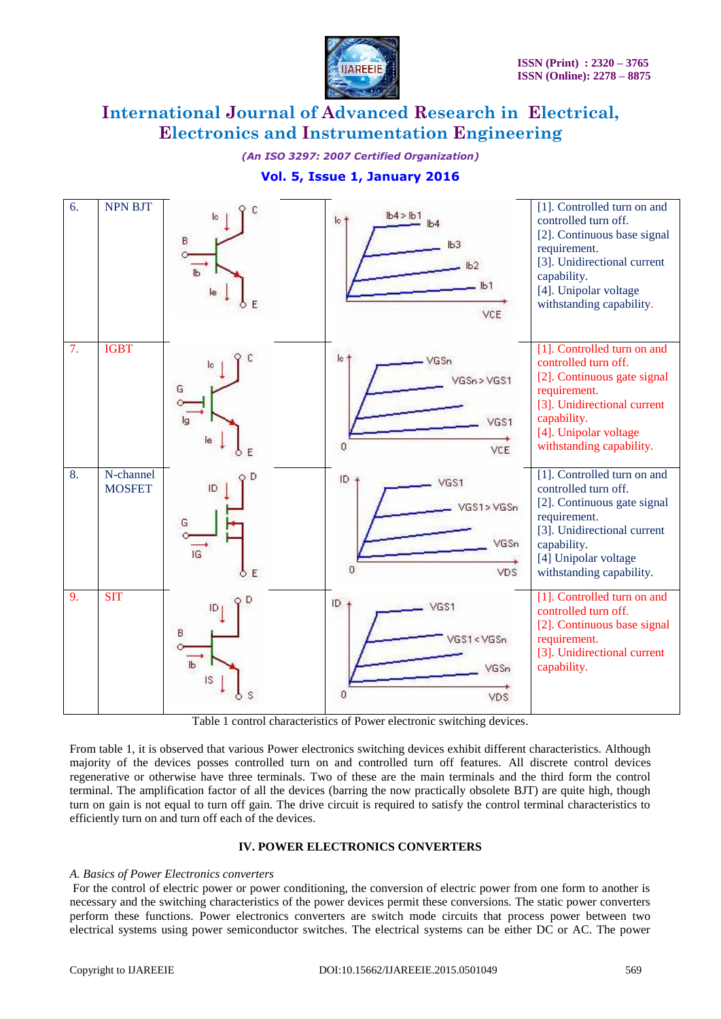

*(An ISO 3297: 2007 Certified Organization)*



## **Vol. 5, Issue 1, January 2016**

Table 1 control characteristics of Power electronic switching devices.

From table 1, it is observed that various Power electronics switching devices exhibit different characteristics. Although majority of the devices posses controlled turn on and controlled turn off features. All discrete control devices regenerative or otherwise have three terminals. Two of these are the main terminals and the third form the control terminal. The amplification factor of all the devices (barring the now practically obsolete BJT) are quite high, though turn on gain is not equal to turn off gain. The drive circuit is required to satisfy the control terminal characteristics to efficiently turn on and turn off each of the devices.

#### **IV. POWER ELECTRONICS CONVERTERS**

#### *A. Basics of Power Electronics converters*

For the control of electric power or power conditioning, the conversion of electric power from one form to another is necessary and the switching characteristics of the power devices permit these conversions. The static power converters perform these functions. Power electronics converters are switch mode circuits that process power between two electrical systems using power semiconductor switches. The electrical systems can be either DC or AC. The power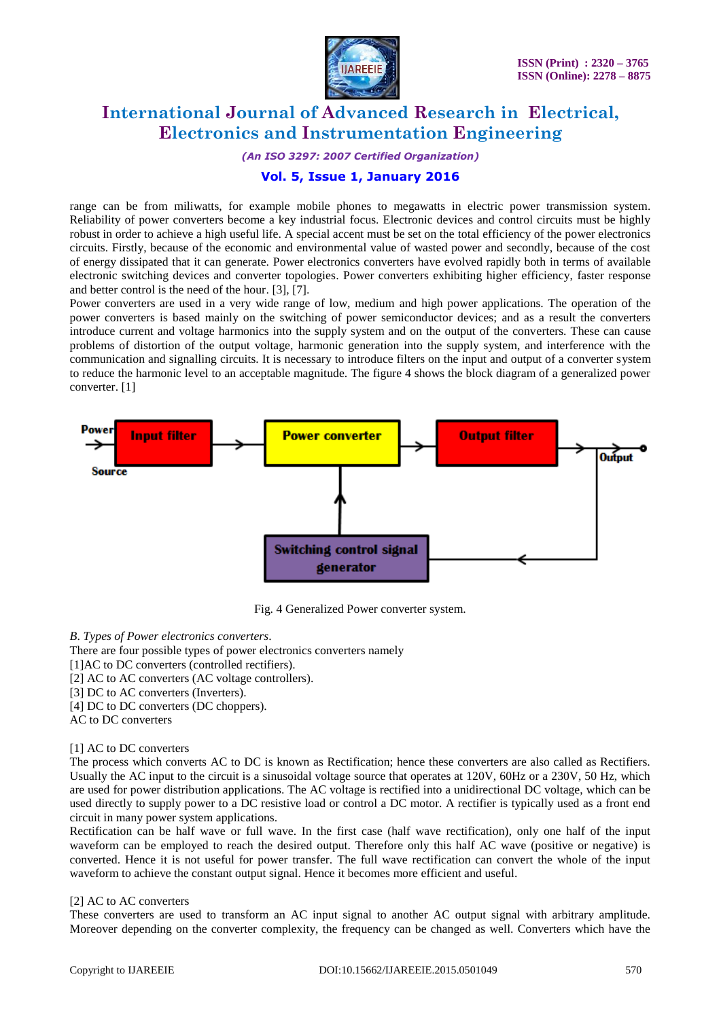

*(An ISO 3297: 2007 Certified Organization)*

### **Vol. 5, Issue 1, January 2016**

range can be from miliwatts, for example mobile phones to megawatts in electric power transmission system. Reliability of power converters become a key industrial focus. Electronic devices and control circuits must be highly robust in order to achieve a high useful life. A special accent must be set on the total efficiency of the power electronics circuits. Firstly, because of the economic and environmental value of wasted power and secondly, because of the cost of energy dissipated that it can generate. Power electronics converters have evolved rapidly both in terms of available electronic switching devices and converter topologies. Power converters exhibiting higher efficiency, faster response and better control is the need of the hour. [3], [7].

Power converters are used in a very wide range of low, medium and high power applications. The operation of the power converters is based mainly on the switching of power semiconductor devices; and as a result the converters introduce current and voltage harmonics into the supply system and on the output of the converters. These can cause problems of distortion of the output voltage, harmonic generation into the supply system, and interference with the communication and signalling circuits. It is necessary to introduce filters on the input and output of a converter system to reduce the harmonic level to an acceptable magnitude. The figure 4 shows the block diagram of a generalized power converter. [1]



Fig. 4 Generalized Power converter system.

#### *B*. *Types of Power electronics converters*.

There are four possible types of power electronics converters namely

- [1] AC to DC converters (controlled rectifiers).
- [2] AC to AC converters (AC voltage controllers).
- [3] DC to AC converters (Inverters).
- [4] DC to DC converters (DC choppers).
- AC to DC converters

#### [1] AC to DC converters

The process which converts AC to DC is known as Rectification; hence these converters are also called as Rectifiers. Usually the AC input to the circuit is a sinusoidal voltage source that operates at 120V, 60Hz or a 230V, 50 Hz, which are used for power distribution applications. The AC voltage is rectified into a unidirectional DC voltage, which can be used directly to supply power to a DC resistive load or control a DC motor. A rectifier is typically used as a front end circuit in many power system applications.

Rectification can be half wave or full wave. In the first case (half wave rectification), only one half of the input waveform can be employed to reach the desired output. Therefore only this half AC wave (positive or negative) is converted. Hence it is not useful for power transfer. The full wave rectification can convert the whole of the input waveform to achieve the constant output signal. Hence it becomes more efficient and useful.

#### [2] AC to AC converters

These converters are used to transform an AC input signal to another AC output signal with arbitrary amplitude. Moreover depending on the converter complexity, the frequency can be changed as well. Converters which have the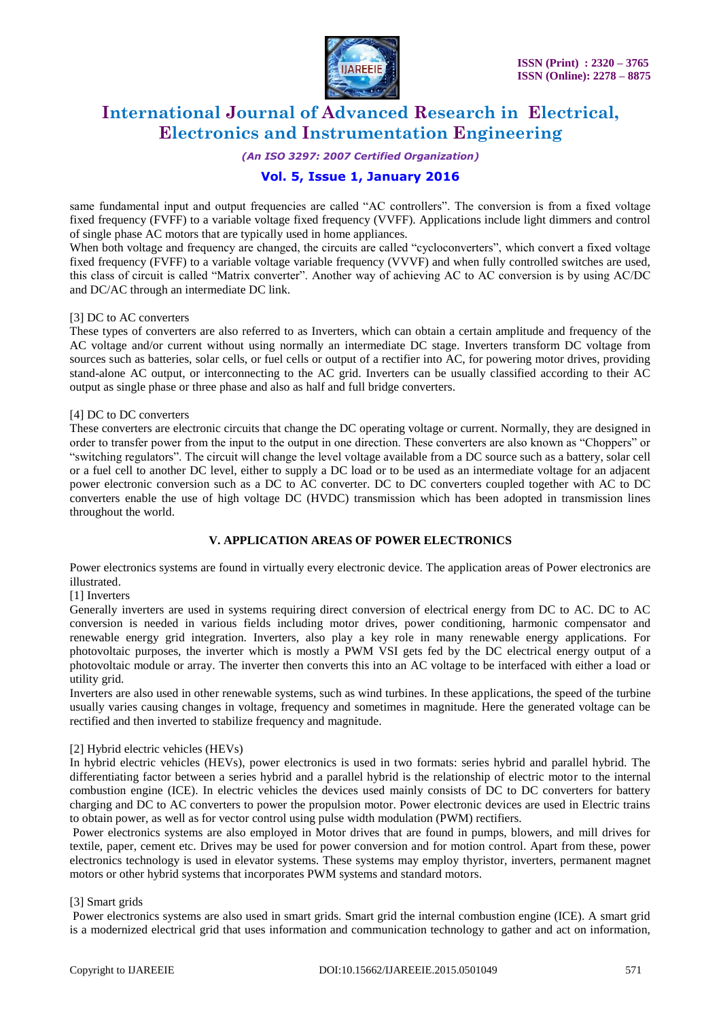

*(An ISO 3297: 2007 Certified Organization)*

### **Vol. 5, Issue 1, January 2016**

same fundamental input and output frequencies are called "AC controllers". The conversion is from a fixed voltage fixed frequency (FVFF) to a variable voltage fixed frequency (VVFF). Applications include light dimmers and control of single phase AC motors that are typically used in home appliances.

When both voltage and frequency are changed, the circuits are called "cycloconverters", which convert a fixed voltage fixed frequency (FVFF) to a variable voltage variable frequency (VVVF) and when fully controlled switches are used, this class of circuit is called "Matrix converter". Another way of achieving AC to AC conversion is by using AC/DC and DC/AC through an intermediate DC link.

#### [3] DC to AC converters

These types of converters are also referred to as Inverters, which can obtain a certain amplitude and frequency of the AC voltage and/or current without using normally an intermediate DC stage. Inverters transform DC voltage from sources such as batteries, solar cells, or fuel cells or output of a rectifier into AC, for powering motor drives, providing stand-alone AC output, or interconnecting to the AC grid. Inverters can be usually classified according to their AC output as single phase or three phase and also as half and full bridge converters.

#### [4] DC to DC converters

These converters are electronic circuits that change the DC operating voltage or current. Normally, they are designed in order to transfer power from the input to the output in one direction. These converters are also known as "Choppers" or "switching regulators". The circuit will change the level voltage available from a DC source such as a battery, solar cell or a fuel cell to another DC level, either to supply a DC load or to be used as an intermediate voltage for an adjacent power electronic conversion such as a DC to AC converter. DC to DC converters coupled together with AC to DC converters enable the use of high voltage DC (HVDC) transmission which has been adopted in transmission lines throughout the world.

#### **V. APPLICATION AREAS OF POWER ELECTRONICS**

Power electronics systems are found in virtually every electronic device. The application areas of Power electronics are illustrated.

[1] Inverters

Generally inverters are used in systems requiring direct conversion of electrical energy from DC to AC. DC to AC conversion is needed in various fields including motor drives, power conditioning, harmonic compensator and renewable energy grid integration. Inverters, also play a key role in many renewable energy applications. For photovoltaic purposes, the inverter which is mostly a PWM VSI gets fed by the DC electrical energy output of a photovoltaic module or array. The inverter then converts this into an AC voltage to be interfaced with either a load or utility grid.

Inverters are also used in other renewable systems, such as wind turbines. In these applications, the speed of the turbine usually varies causing changes in voltage, frequency and sometimes in magnitude. Here the generated voltage can be rectified and then inverted to stabilize frequency and magnitude.

#### [2] Hybrid electric vehicles (HEVs)

In hybrid electric vehicles (HEVs), power electronics is used in two formats: series hybrid and parallel hybrid. The differentiating factor between a series hybrid and a parallel hybrid is the relationship of electric motor to the internal combustion engine (ICE). In electric vehicles the devices used mainly consists of DC to DC converters for battery charging and DC to AC converters to power the propulsion motor. Power electronic devices are used in Electric trains to obtain power, as well as for vector control using pulse width modulation (PWM) rectifiers.

Power electronics systems are also employed in Motor drives that are found in pumps, blowers, and mill drives for textile, paper, cement etc. Drives may be used for power conversion and for motion control. Apart from these, power electronics technology is used in elevator systems. These systems may employ thyristor, inverters, permanent magnet motors or other hybrid systems that incorporates PWM systems and standard motors.

#### [3] Smart grids

Power electronics systems are also used in smart grids. Smart grid the internal combustion engine (ICE). A smart grid is a modernized electrical grid that uses information and communication technology to gather and act on information,